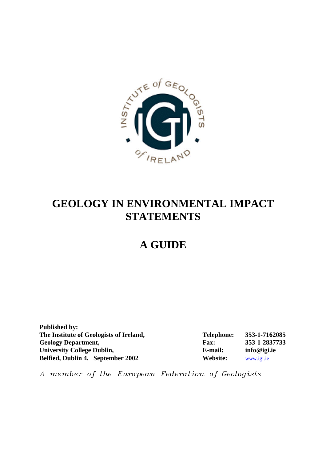

# **GEOLOGY IN ENVIRONMENTAL IMPACT STATEMENTS**

# **A GUIDE**

**Published by:**  The Institute of Geologists of Ireland, Telephone: 353-1-7162085 **Geology Department, Fax: 353-1-2837733 University College Dublin, E-mail: info@igi.ie Belfied, Dublin 4. September 2002 Website:** www.igi.ie

*A member of the European Federation of Geologists*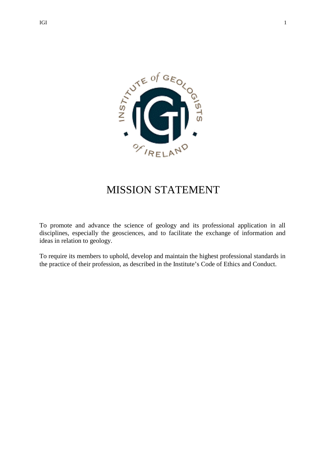

# MISSION STATEMENT

To promote and advance the science of geology and its professional application in all disciplines, especially the geosciences, and to facilitate the exchange of information and ideas in relation to geology.

To require its members to uphold, develop and maintain the highest professional standards in the practice of their profession, as described in the Institute's Code of Ethics and Conduct.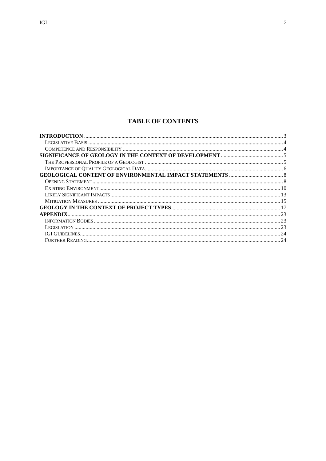# **TABLE OF CONTENTS**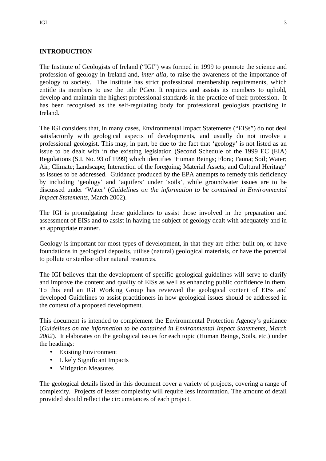# **INTRODUCTION**

The Institute of Geologists of Ireland ("IGI") was formed in 1999 to promote the science and profession of geology in Ireland and, *inter alia*, to raise the awareness of the importance of geology to society. The Institute has strict professional membership requirements, which entitle its members to use the title PGeo. It requires and assists its members to uphold, develop and maintain the highest professional standards in the practice of their profession. It has been recognised as the self-regulating body for professional geologists practising in Ireland.

The IGI considers that, in many cases, Environmental Impact Statements ("EISs") do not deal satisfactorily with geological aspects of developments, and usually do not involve a professional geologist. This may, in part, be due to the fact that 'geology' is not listed as an issue to be dealt with in the existing legislation (Second Schedule of the 1999 EC (EIA) Regulations (S.I. No. 93 of 1999) which identifies 'Human Beings; Flora; Fauna; Soil; Water; Air; Climate; Landscape; Interaction of the foregoing; Material Assets; and Cultural Heritage' as issues to be addressed. Guidance produced by the EPA attempts to remedy this deficiency by including 'geology' and 'aquifers' under 'soils', while groundwater issues are to be discussed under 'Water' (*Guidelines on the information to be contained in Environmental Impact Statements*, March 2002).

The IGI is promulgating these guidelines to assist those involved in the preparation and assessment of EISs and to assist in having the subject of geology dealt with adequately and in an appropriate manner.

Geology is important for most types of development, in that they are either built on, or have foundations in geological deposits, utilise (natural) geological materials, or have the potential to pollute or sterilise other natural resources.

The IGI believes that the development of specific geological guidelines will serve to clarify and improve the content and quality of EISs as well as enhancing public confidence in them. To this end an IGI Working Group has reviewed the geological content of EISs and developed Guidelines to assist practitioners in how geological issues should be addressed in the context of a proposed development.

This document is intended to complement the Environmental Protection Agency's guidance (*Guidelines on the information to be contained in Environmental Impact Statements, March 2002*). It elaborates on the geological issues for each topic (Human Beings, Soils, etc.) under the headings:

- Existing Environment
- Likely Significant Impacts
- Mitigation Measures

The geological details listed in this document cover a variety of projects, covering a range of complexity. Projects of lesser complexity will require less information. The amount of detail provided should reflect the circumstances of each project.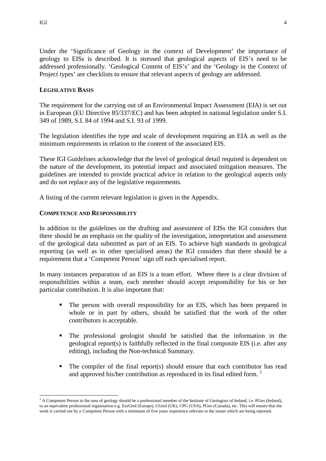## **LEGISLATIVE BASIS**

The requirement for the carrying out of an Environmental Impact Assessment (EIA) is set out in European (EU Directive 85/337/EC) and has been adopted in national legislation under S.I. 349 of 1989, S.I. 84 of 1994 and S.I. 93 of 1999.

The legislation identifies the type and scale of development requiring an EIA as well as the minimum requirements in relation to the content of the associated EIS.

These IGI Guidelines acknowledge that the level of geological detail required is dependent on the nature of the development, its potential impact and associated mitigation measures. The guidelines are intended to provide practical advice in relation to the geological aspects only and do not replace any of the legislative requirements.

A listing of the current relevant legislation is given in the Appendix.

## **COMPETENCE AND RESPONSIBILITY**

In addition to the guidelines on the drafting and assessment of EISs the IGI considers that there should be an emphasis on the quality of the investigation, interpretation and assessment of the geological data submitted as part of an EIS. To achieve high standards in geological reporting (as well as in other specialised areas) the IGI considers that there should be a requirement that a 'Competent Person' sign off each specialised report.

In many instances preparation of an EIS is a team effort. Where there is a clear division of responsibilities within a team, each member should accept responsibility for his or her particular contribution. It is also important that:

- The person with overall responsibility for an EIS, which has been prepared in whole or in part by others, should be satisfied that the work of the other contributors is acceptable.
- The professional geologist should be satisfied that the information in the geological report(s) is faithfully reflected in the final composite EIS (i.e. after any editing), including the Non-technical Summary.
- $\blacksquare$  The compiler of the final report(s) should ensure that each contributor has read and approved his/her contribution as reproduced in its final edited form.  $\frac{1}{1}$

 $\overline{a}$ 

<sup>&</sup>lt;sup>1</sup> A Competent Person in the area of geology should be a professional member of the Institute of Geologists of Ireland, i.e. PGeo (Ireland), or an equivalent professional organisation e.g. EurGeol (Europe), CGeol (UK), CPG (USA), PGeo (Canada), etc. This will ensure that the work is carried out by a Competent Person with a minimum of five years experience relevant to the issues which are being reported.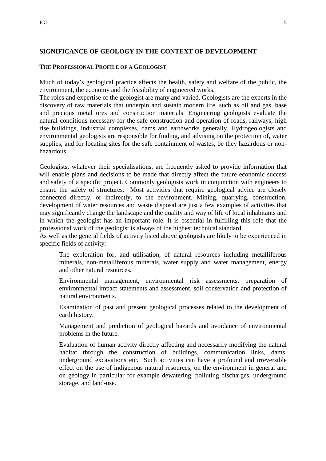#### IGI 5

## **SIGNIFICANCE OF GEOLOGY IN THE CONTEXT OF DEVELOPMENT**

### **THE PROFESSIONAL PROFILE OF A GEOLOGIST**

Much of today's geological practice affects the health, safety and welfare of the public, the environment, the economy and the feasibility of engineered works.

The roles and expertise of the geologist are many and varied. Geologists are the experts in the discovery of raw materials that underpin and sustain modern life, such as oil and gas, base and precious metal ores and construction materials. Engineering geologists evaluate the natural conditions necessary for the safe construction and operation of roads, railways, high rise buildings, industrial complexes, dams and earthworks generally. Hydrogeologists and environmental geologists are responsible for finding, and advising on the protection of, water supplies, and for locating sites for the safe containment of wastes, be they hazardous or nonhazardous.

Geologists, whatever their specialisations, are frequently asked to provide information that will enable plans and decisions to be made that directly affect the future economic success and safety of a specific project. Commonly geologists work in conjunction with engineers to ensure the safety of structures. Most activities that require geological advice are closely connected directly, or indirectly, to the environment. Mining, quarrying, construction, development of water resources and waste disposal are just a few examples of activities that may significantly change the landscape and the quality and way of life of local inhabitants and in which the geologist has an important role. It is essential in fulfilling this role that the professional work of the geologist is always of the highest technical standard.

As well as the general fields of activity listed above geologists are likely to be experienced in specific fields of activity:

The exploration for, and utilisation, of natural resources including metalliferous minerals, non-metalliferous minerals, water supply and water management, energy and other natural resources.

Environmental management, environmental risk assessments, preparation of environmental impact statements and assessment, soil conservation and protection of natural environments.

Examination of past and present geological processes related to the development of earth history.

Management and prediction of geological hazards and avoidance of environmental problems in the future.

Evaluation of human activity directly affecting and necessarily modifying the natural habitat through the construction of buildings, communication links, dams, underground excavations etc. Such activities can have a profound and irreversible effect on the use of indigenous natural resources, on the environment in general and on geology in particular for example dewatering, polluting discharges, underground storage, and land-use.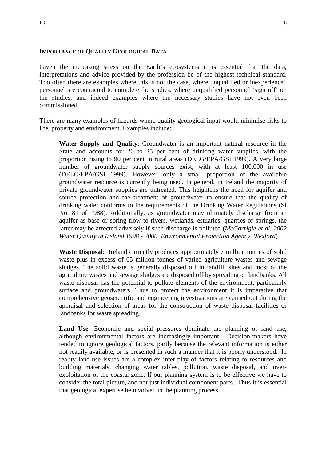### **IMPORTANCE OF QUALITY GEOLOGICAL DATA**

Given the increasing stress on the Earth's ecosystems it is essential that the data, interpretations and advice provided by the profession be of the highest technical standard. Too often there are examples where this is not the case, where unqualified or inexperienced personnel are contracted to complete the studies, where unqualified personnel 'sign off' on the studies, and indeed examples where the necessary studies have not even been commissioned.

There are many examples of hazards where quality geological input would minimise risks to life, property and environment. Examples include:

**Water Supply and Quality**: Groundwater is an important natural resource in the State and accounts for 20 to 25 per cent of drinking water supplies, with the proportion rising to 90 per cent in rural areas (DELG/EPA/GSI 1999). A very large number of groundwater supply sources exist, with at least 100,000 in use (DELG/EPA/GSI 1999). However, only a small proportion of the available groundwater resource is currently being used. In general, in Ireland the majority of private groundwater supplies are untreated. This heightens the need for aquifer and source protection and the treatment of groundwater to ensure that the quality of drinking water conforms to the requirements of the Drinking Water Regulations (SI No. 81 of 1988). Additionally, as groundwater may ultimately discharge from an aquifer as base or spring flow to rivers, wetlands, estuaries, quarries or springs, the latter may be affected adversely if such discharge is polluted (*McGarrigle et al. 2002 Water Quality in Ireland 1998 - 2000. Environmental Protection Agency, Wexford*).

**Waste Disposal**: Ireland currently produces approximately 7 million tonnes of solid waste plus in excess of 65 million tonnes of varied agriculture wastes and sewage sludges. The solid waste is generally disposed off in landfill sites and most of the agriculture wastes and sewage sludges are disposed off by spreading on landbanks. All waste disposal has the potential to pollute elements of the environment, particularly surface and groundwaters. Thus to protect the environment it is imperative that comprehensive geoscientific and engineering investigations are carried out during the appraisal and selection of areas for the construction of waste disposal facilities or landbanks for waste spreading.

**Land Use**: Economic and social pressures dominate the planning of land use, although environmental factors are increasingly important. Decision-makers have tended to ignore geological factors, partly because the relevant information is either not readily available, or is presented in such a manner that it is poorly understood. In reality land-use issues are a complex inter-play of factors relating to resources and building materials, changing water tables, pollution, waste disposal, and overexploitation of the coastal zone. If our planning system is to be effective we have to consider the total picture, and not just individual component parts. Thus it is essential that geological expertise be involved in the planning process.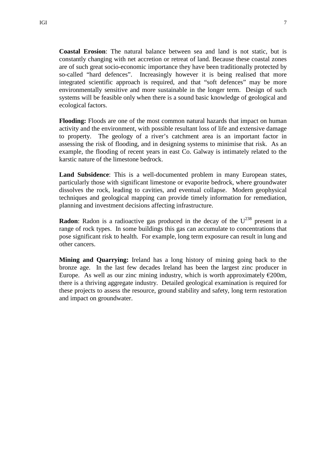**Coastal Erosion**: The natural balance between sea and land is not static, but is constantly changing with net accretion or retreat of land. Because these coastal zones are of such great socio-economic importance they have been traditionally protected by so-called "hard defences". Increasingly however it is being realised that more integrated scientific approach is required, and that "soft defences" may be more environmentally sensitive and more sustainable in the longer term. Design of such systems will be feasible only when there is a sound basic knowledge of geological and ecological factors.

**Flooding:** Floods are one of the most common natural hazards that impact on human activity and the environment, with possible resultant loss of life and extensive damage to property. The geology of a river's catchment area is an important factor in assessing the risk of flooding, and in designing systems to minimise that risk. As an example, the flooding of recent years in east Co. Galway is intimately related to the karstic nature of the limestone bedrock.

**Land Subsidence**: This is a well-documented problem in many European states, particularly those with significant limestone or evaporite bedrock, where groundwater dissolves the rock, leading to cavities, and eventual collapse. Modern geophysical techniques and geological mapping can provide timely information for remediation, planning and investment decisions affecting infrastructure.

**Radon**: Radon is a radioactive gas produced in the decay of the  $U^{238}$  present in a range of rock types. In some buildings this gas can accumulate to concentrations that pose significant risk to health. For example, long term exposure can result in lung and other cancers.

**Mining and Quarrying:** Ireland has a long history of mining going back to the bronze age. In the last few decades Ireland has been the largest zinc producer in Europe. As well as our zinc mining industry, which is worth approximately  $\epsilon$ 200m, there is a thriving aggregate industry. Detailed geological examination is required for these projects to assess the resource, ground stability and safety, long term restoration and impact on groundwater.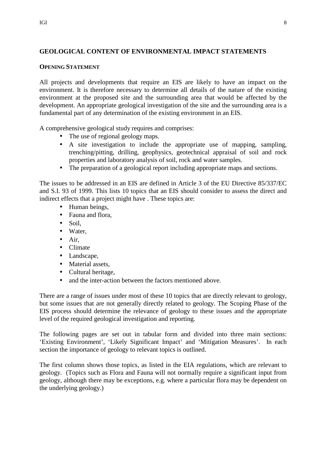# **GEOLOGICAL CONTENT OF ENVIRONMENTAL IMPACT STATEMENTS**

## **OPENING STATEMENT**

All projects and developments that require an EIS are likely to have an impact on the environment. It is therefore necessary to determine all details of the nature of the existing environment at the proposed site and the surrounding area that would be affected by the development. An appropriate geological investigation of the site and the surrounding area is a fundamental part of any determination of the existing environment in an EIS.

A comprehensive geological study requires and comprises:

- The use of regional geology maps.
- A site investigation to include the appropriate use of mapping, sampling, trenching/pitting, drilling, geophysics, geotechnical appraisal of soil and rock properties and laboratory analysis of soil, rock and water samples.
- The preparation of a geological report including appropriate maps and sections.

The issues to be addressed in an EIS are defined in Article 3 of the EU Directive 85/337/EC and S.I. 93 of 1999. This lists 10 topics that an EIS should consider to assess the direct and indirect effects that a project might have . These topics are:

- Human beings,
- Fauna and flora,
- Soil,
- Water,
- Air,
- Climate
- Landscape,
- Material assets,
- Cultural heritage,
- and the inter-action between the factors mentioned above.

There are a range of issues under most of these 10 topics that are directly relevant to geology, but some issues that are not generally directly related to geology. The Scoping Phase of the EIS process should determine the relevance of geology to these issues and the appropriate level of the required geological investigation and reporting.

The following pages are set out in tabular form and divided into three main sections: 'Existing Environment', 'Likely Significant Impact' and 'Mitigation Measures'. In each section the importance of geology to relevant topics is outlined.

The first column shows those topics, as listed in the EIA regulations, which are relevant to geology. (Topics such as Flora and Fauna will not normally require a significant input from geology, although there may be exceptions, e.g. where a particular flora may be dependent on the underlying geology.)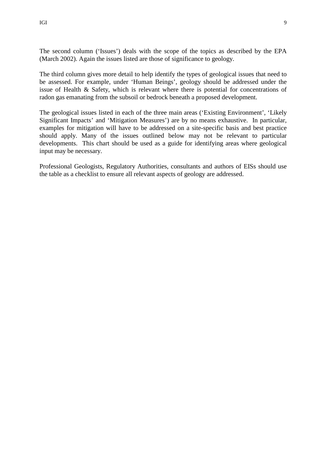The second column ('Issues') deals with the scope of the topics as described by the EPA (March 2002). Again the issues listed are those of significance to geology.

The third column gives more detail to help identify the types of geological issues that need to be assessed. For example, under 'Human Beings', geology should be addressed under the issue of Health & Safety, which is relevant where there is potential for concentrations of radon gas emanating from the subsoil or bedrock beneath a proposed development.

The geological issues listed in each of the three main areas ('Existing Environment', 'Likely Significant Impacts' and 'Mitigation Measures') are by no means exhaustive. In particular, examples for mitigation will have to be addressed on a site-specific basis and best practice should apply. Many of the issues outlined below may not be relevant to particular developments. This chart should be used as a guide for identifying areas where geological input may be necessary.

Professional Geologists, Regulatory Authorities, consultants and authors of EISs should use the table as a checklist to ensure all relevant aspects of geology are addressed.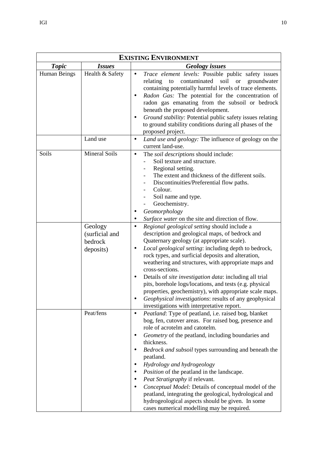| <b>EXISTING ENVIRONMENT</b> |                                                   |                                                                                                                                                                                                                                                                                                                                                                                                                                                                                                                                                                                                                                                    |  |
|-----------------------------|---------------------------------------------------|----------------------------------------------------------------------------------------------------------------------------------------------------------------------------------------------------------------------------------------------------------------------------------------------------------------------------------------------------------------------------------------------------------------------------------------------------------------------------------------------------------------------------------------------------------------------------------------------------------------------------------------------------|--|
| <b>Topic</b>                | <i>Issues</i>                                     | <b>Geology</b> issues                                                                                                                                                                                                                                                                                                                                                                                                                                                                                                                                                                                                                              |  |
| Human Beings                | Health & Safety                                   | Trace element levels: Possible public safety issues<br>$\bullet$<br>contaminated<br>soil<br>relating<br>to<br><b>or</b><br>groundwater<br>containing potentially harmful levels of trace elements.<br>Radon Gas: The potential for the concentration of<br>٠<br>radon gas emanating from the subsoil or bedrock<br>beneath the proposed development.<br>Ground stability: Potential public safety issues relating<br>to ground stability conditions during all phases of the<br>proposed project.                                                                                                                                                  |  |
|                             | Land use                                          | Land use and geology: The influence of geology on the<br>$\bullet$<br>current land-use.                                                                                                                                                                                                                                                                                                                                                                                                                                                                                                                                                            |  |
| Soils                       | <b>Mineral Soils</b>                              | The soil descriptions should include:<br>$\bullet$<br>Soil texture and structure.<br>Regional setting.<br>The extent and thickness of the different soils.<br>Discontinuities/Preferential flow paths.<br>Colour.<br>Soil name and type.<br>Geochemistry.<br>Geomorphology<br>Surface water on the site and direction of flow.                                                                                                                                                                                                                                                                                                                     |  |
|                             | Geology<br>(surficial and<br>bedrock<br>deposits) | Regional geological setting should include a<br>$\bullet$<br>description and geological maps, of bedrock and<br>Quaternary geology (at appropriate scale).<br>Local geological setting: including depth to bedrock,<br>٠<br>rock types, and surficial deposits and alteration,<br>weathering and structures, with appropriate maps and<br>cross-sections.<br>Details of site investigation data: including all trial<br>pits, borehole logs/locations, and tests (e.g. physical<br>properties, geochemistry), with appropriate scale maps.<br>Geophysical investigations: results of any geophysical<br>investigations with interpretative report. |  |
|                             | Peat/fens                                         | Peatland: Type of peatland, i.e. raised bog, blanket<br>$\bullet$<br>bog, fen, cutover areas. For raised bog, presence and<br>role of acrotelm and catotelm.<br>Geometry of the peatland, including boundaries and<br>thickness.<br>Bedrock and subsoil types surrounding and beneath the<br>peatland.<br>Hydrology and hydrogeology<br>Position of the peatland in the landscape.<br>Peat Stratigraphy if relevant.<br>Conceptual Model: Details of conceptual model of the<br>peatland, integrating the geological, hydrological and<br>hydrogeological aspects should be given. In some<br>cases numerical modelling may be required.           |  |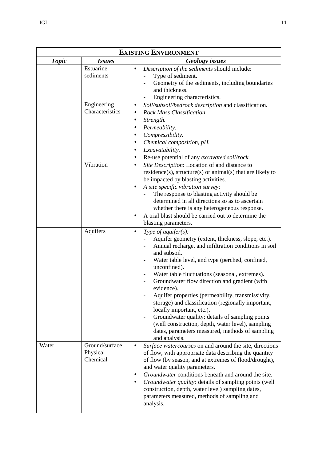| <b>EXISTING ENVIRONMENT</b> |                                        |                                                                                                                                                                                                                                                                                                                                                                                                                                                                                                                                                                                                                                                                            |
|-----------------------------|----------------------------------------|----------------------------------------------------------------------------------------------------------------------------------------------------------------------------------------------------------------------------------------------------------------------------------------------------------------------------------------------------------------------------------------------------------------------------------------------------------------------------------------------------------------------------------------------------------------------------------------------------------------------------------------------------------------------------|
| <b>Topic</b>                | <i>Issues</i>                          | <b>Geology</b> issues                                                                                                                                                                                                                                                                                                                                                                                                                                                                                                                                                                                                                                                      |
|                             | Estuarine<br>sediments                 | Description of the sediments should include:<br>$\bullet$<br>Type of sediment.<br>Geometry of the sediments, including boundaries<br>and thickness.<br>Engineering characteristics.                                                                                                                                                                                                                                                                                                                                                                                                                                                                                        |
|                             | Engineering<br>Characteristics         | Soil/subsoil/bedrock description and classification.<br>٠<br>Rock Mass Classification.<br>$\bullet$<br>Strength.<br>$\bullet$<br>Permeability.<br>$\bullet$<br>Compressibility.<br>$\bullet$<br>Chemical composition, pH.<br>$\bullet$<br>Excavatability.<br>$\bullet$<br>Re-use potential of any excavated soil/rock.<br>$\bullet$                                                                                                                                                                                                                                                                                                                                        |
|                             | Vibration                              | Site Description: Location of and distance to<br>$\bullet$<br>residence(s), structure(s) or animal(s) that are likely to<br>be impacted by blasting activities.<br>A site specific vibration survey:<br>$\bullet$<br>The response to blasting activity should be<br>determined in all directions so as to ascertain<br>whether there is any heterogeneous response.<br>A trial blast should be carried out to determine the<br>$\bullet$<br>blasting parameters.                                                                                                                                                                                                           |
|                             | Aquifers                               | Type of aquifer $(s)$ :<br>$\bullet$<br>Aquifer geometry (extent, thickness, slope, etc.).<br>Annual recharge, and infiltration conditions in soil<br>and subsoil.<br>Water table level, and type (perched, confined,<br>unconfined).<br>Water table fluctuations (seasonal, extremes).<br>Groundwater flow direction and gradient (with<br>evidence).<br>Aquifer properties (permeability, transmissivity,<br>storage) and classification (regionally important,<br>locally important, etc.).<br>Groundwater quality: details of sampling points<br>(well construction, depth, water level), sampling<br>dates, parameters measured, methods of sampling<br>and analysis. |
| Water                       | Ground/surface<br>Physical<br>Chemical | Surface watercourses on and around the site, directions<br>$\bullet$<br>of flow, with appropriate data describing the quantity<br>of flow (by season, and at extremes of flood/drought),<br>and water quality parameters.<br>Groundwater conditions beneath and around the site.<br>٠<br>Groundwater quality: details of sampling points (well<br>٠<br>construction, depth, water level) sampling dates,<br>parameters measured, methods of sampling and<br>analysis.                                                                                                                                                                                                      |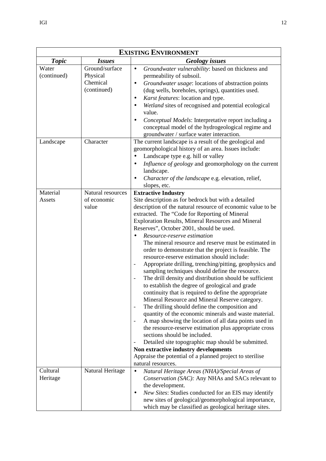| <b>EXISTING ENVIRONMENT</b> |                                                       |                                                                                                                                                                                                                                                                                                                                                                                                                                                                                                                                                                                                                                                                                                                                                                                                                                                                                                                                                                                                                                                                                                                                                                                                                                                                                                                                                                                                       |
|-----------------------------|-------------------------------------------------------|-------------------------------------------------------------------------------------------------------------------------------------------------------------------------------------------------------------------------------------------------------------------------------------------------------------------------------------------------------------------------------------------------------------------------------------------------------------------------------------------------------------------------------------------------------------------------------------------------------------------------------------------------------------------------------------------------------------------------------------------------------------------------------------------------------------------------------------------------------------------------------------------------------------------------------------------------------------------------------------------------------------------------------------------------------------------------------------------------------------------------------------------------------------------------------------------------------------------------------------------------------------------------------------------------------------------------------------------------------------------------------------------------------|
| <b>Topic</b>                | <i>Issues</i>                                         | <b>Geology</b> issues                                                                                                                                                                                                                                                                                                                                                                                                                                                                                                                                                                                                                                                                                                                                                                                                                                                                                                                                                                                                                                                                                                                                                                                                                                                                                                                                                                                 |
| Water<br>(continued)        | Ground/surface<br>Physical<br>Chemical<br>(continued) | Groundwater vulnerability: based on thickness and<br>$\bullet$<br>permeability of subsoil.<br>Groundwater usage: locations of abstraction points<br>٠<br>(dug wells, boreholes, springs), quantities used.<br>Karst features: location and type.<br>٠<br>Wetland sites of recognised and potential ecological<br>$\bullet$<br>value.<br>Conceptual Models: Interpretative report including a<br>$\bullet$<br>conceptual model of the hydrogeological regime and<br>groundwater / surface water interaction.                                                                                                                                                                                                                                                                                                                                                                                                                                                                                                                                                                                                                                                                                                                                                                                                                                                                                           |
| Landscape                   | Character                                             | The current landscape is a result of the geological and<br>geomorphological history of an area. Issues include:<br>Landscape type e.g. hill or valley<br>$\bullet$<br>Influence of geology and geomorphology on the current<br>$\bullet$<br>landscape.<br>Character of the landscape e.g. elevation, relief,<br>٠<br>slopes, etc.                                                                                                                                                                                                                                                                                                                                                                                                                                                                                                                                                                                                                                                                                                                                                                                                                                                                                                                                                                                                                                                                     |
| Material<br>Assets          | Natural resources<br>of economic<br>value             | <b>Extractive Industry</b><br>Site description as for bedrock but with a detailed<br>description of the natural resource of economic value to be<br>extracted. The "Code for Reporting of Mineral<br>Exploration Results, Mineral Resources and Mineral<br>Reserves", October 2001, should be used.<br>Resource-reserve estimation<br>$\bullet$<br>The mineral resource and reserve must be estimated in<br>order to demonstrate that the project is feasible. The<br>resource-reserve estimation should include:<br>Appropriate drilling, trenching/pitting, geophysics and<br>$\overline{\phantom{a}}$<br>sampling techniques should define the resource.<br>The drill density and distribution should be sufficient<br>to establish the degree of geological and grade<br>continuity that is required to define the appropriate<br>Mineral Resource and Mineral Reserve category.<br>The drilling should define the composition and<br>$\overline{\phantom{a}}$<br>quantity of the economic minerals and waste material.<br>A map showing the location of all data points used in<br>$\blacksquare$<br>the resource-reserve estimation plus appropriate cross<br>sections should be included.<br>Detailed site topographic map should be submitted.<br>$\qquad \qquad -$<br>Non extractive industry developments<br>Appraise the potential of a planned project to sterilise<br>natural resources. |
| Cultural<br>Heritage        | Natural Heritage                                      | Natural Heritage Areas (NHA)/Special Areas of<br>$\bullet$<br>Conservation (SAC): Any NHAs and SACs relevant to<br>the development.<br>New Sites: Studies conducted for an EIS may identify<br>٠<br>new sites of geological/geomorphological importance,<br>which may be classified as geological heritage sites.                                                                                                                                                                                                                                                                                                                                                                                                                                                                                                                                                                                                                                                                                                                                                                                                                                                                                                                                                                                                                                                                                     |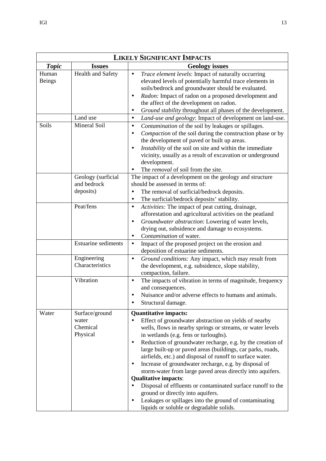| <b>LIKELY SIGNIFICANT IMPACTS</b> |                                                 |                                                                                                                                                                                                                                                                                                                                                                                                                                                                                                                                                                                                                                                                                                                                                                                                                 |
|-----------------------------------|-------------------------------------------------|-----------------------------------------------------------------------------------------------------------------------------------------------------------------------------------------------------------------------------------------------------------------------------------------------------------------------------------------------------------------------------------------------------------------------------------------------------------------------------------------------------------------------------------------------------------------------------------------------------------------------------------------------------------------------------------------------------------------------------------------------------------------------------------------------------------------|
| <b>Topic</b>                      | <b>Issues</b>                                   | <b>Geology issues</b>                                                                                                                                                                                                                                                                                                                                                                                                                                                                                                                                                                                                                                                                                                                                                                                           |
| Human<br><b>Beings</b><br>Soils   | Health and Safety<br>Land use<br>Mineral Soil   | Trace element levels: Impact of naturally occurring<br>$\bullet$<br>elevated levels of potentially harmful trace elements in<br>soils/bedrock and groundwater should be evaluated.<br>Radon: Impact of radon on a proposed development and<br>$\bullet$<br>the affect of the development on radon.<br>Ground stability throughout all phases of the development.<br>$\bullet$<br>Land-use and geology: Impact of development on land-use.<br>$\bullet$<br>Contamination of the soil by leakages or spillages.<br>$\bullet$<br>Compaction of the soil during the construction phase or by<br>$\bullet$<br>the development of paved or built up areas.                                                                                                                                                            |
|                                   |                                                 | Instability of the soil on site and within the immediate<br>$\bullet$<br>vicinity, usually as a result of excavation or underground<br>development.<br>The <i>removal</i> of soil from the site.                                                                                                                                                                                                                                                                                                                                                                                                                                                                                                                                                                                                                |
|                                   | Geology (surficial<br>and bedrock<br>deposits)  | The impact of a development on the geology and structure<br>should be assessed in terms of:<br>The removal of surficial/bedrock deposits.<br>$\bullet$<br>The surficial/bedrock deposits' stability.<br>$\bullet$                                                                                                                                                                                                                                                                                                                                                                                                                                                                                                                                                                                               |
|                                   | Peat/fens                                       | Activities: The impact of peat cutting, drainage,<br>$\bullet$<br>afforestation and agricultural activities on the peatland<br>Groundwater abstraction: Lowering of water levels,<br>$\bullet$<br>drying out, subsidence and damage to ecosystems.<br>Contamination of water.<br>$\bullet$                                                                                                                                                                                                                                                                                                                                                                                                                                                                                                                      |
|                                   | <b>Estuarine sediments</b>                      | Impact of the proposed project on the erosion and<br>$\bullet$<br>deposition of estuarine sediments.                                                                                                                                                                                                                                                                                                                                                                                                                                                                                                                                                                                                                                                                                                            |
|                                   | Engineering<br>Characteristics                  | Ground conditions: Any impact, which may result from<br>$\bullet$<br>the development, e.g. subsidence, slope stability,<br>compaction, failure.                                                                                                                                                                                                                                                                                                                                                                                                                                                                                                                                                                                                                                                                 |
|                                   | Vibration                                       | The impacts of vibration in terms of magnitude, frequency<br>$\bullet$<br>and consequences.<br>Nuisance and/or adverse effects to humans and animals.<br>Structural damage.                                                                                                                                                                                                                                                                                                                                                                                                                                                                                                                                                                                                                                     |
| Water                             | Surface/ground<br>water<br>Chemical<br>Physical | <b>Quantitative impacts:</b><br>Effect of groundwater abstraction on yields of nearby<br>$\bullet$<br>wells, flows in nearby springs or streams, or water levels<br>in wetlands (e.g. fens or turloughs).<br>Reduction of groundwater recharge, e.g. by the creation of<br>٠<br>large built-up or paved areas (buildings, car parks, roads,<br>airfields, etc.) and disposal of runoff to surface water.<br>Increase of groundwater recharge, e.g. by disposal of<br>$\bullet$<br>storm-water from large paved areas directly into aquifers.<br><b>Qualitative impacts:</b><br>Disposal of effluents or contaminated surface runoff to the<br>$\bullet$<br>ground or directly into aquifers.<br>Leakages or spillages into the ground of contaminating<br>$\bullet$<br>liquids or soluble or degradable solids. |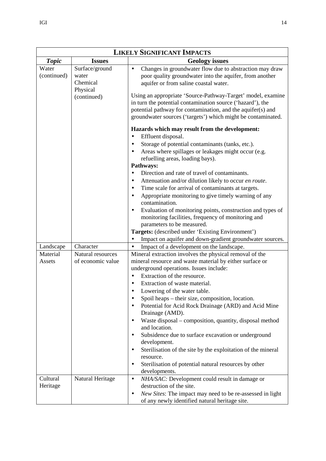| <b>LIKELY SIGNIFICANT IMPACTS</b> |                                        |                                                                                                                                                                                                                                                                                                                                                                                                                                                                                                                                                                                                                                                                                                                                                                          |
|-----------------------------------|----------------------------------------|--------------------------------------------------------------------------------------------------------------------------------------------------------------------------------------------------------------------------------------------------------------------------------------------------------------------------------------------------------------------------------------------------------------------------------------------------------------------------------------------------------------------------------------------------------------------------------------------------------------------------------------------------------------------------------------------------------------------------------------------------------------------------|
| <b>Topic</b>                      | <b>Issues</b>                          | <b>Geology</b> issues                                                                                                                                                                                                                                                                                                                                                                                                                                                                                                                                                                                                                                                                                                                                                    |
| Water<br>(continued)              | Surface/ground<br>water<br>Chemical    | Changes in groundwater flow due to abstraction may draw<br>$\bullet$<br>poor quality groundwater into the aquifer, from another<br>aquifer or from saline coastal water.                                                                                                                                                                                                                                                                                                                                                                                                                                                                                                                                                                                                 |
|                                   | Physical<br>(continued)                | Using an appropriate 'Source-Pathway-Target' model, examine<br>in turn the potential contamination source ('hazard'), the<br>potential pathway for contamination, and the aquifer(s) and<br>groundwater sources ('targets') which might be contaminated.                                                                                                                                                                                                                                                                                                                                                                                                                                                                                                                 |
|                                   |                                        | Hazards which may result from the development:<br>Effluent disposal.<br>$\bullet$<br>Storage of potential contaminants (tanks, etc.).<br>Areas where spillages or leakages might occur (e.g.<br>$\bullet$<br>refuelling areas, loading bays).<br>Pathways:<br>Direction and rate of travel of contaminants.<br>$\bullet$<br>Attenuation and/or dilution likely to occur en route.<br>Time scale for arrival of contaminants at targets.<br>Appropriate monitoring to give timely warning of any<br>$\bullet$<br>contamination.<br>Evaluation of monitoring points, construction and types of<br>$\bullet$<br>monitoring facilities, frequency of monitoring and<br>parameters to be measured.<br>Targets: (described under 'Existing Environment')                       |
|                                   |                                        | Impact on aquifer and down-gradient groundwater sources.<br>$\bullet$                                                                                                                                                                                                                                                                                                                                                                                                                                                                                                                                                                                                                                                                                                    |
| Landscape                         | Character                              | Impact of a development on the landscape.<br>$\bullet$                                                                                                                                                                                                                                                                                                                                                                                                                                                                                                                                                                                                                                                                                                                   |
| Material<br>Assets                | Natural resources<br>of economic value | Mineral extraction involves the physical removal of the<br>mineral resource and waste material by either surface or<br>underground operations. Issues include:<br>Extraction of the resource.<br>$\bullet$<br>Extraction of waste material.<br>Lowering of the water table.<br>Spoil heaps - their size, composition, location.<br>$\bullet$<br>Potential for Acid Rock Drainage (ARD) and Acid Mine<br>$\bullet$<br>Drainage (AMD).<br>Waste disposal – composition, quantity, disposal method<br>and location.<br>Subsidence due to surface excavation or underground<br>development.<br>Sterilisation of the site by the exploitation of the mineral<br>$\bullet$<br>resource.<br>Sterilisation of potential natural resources by other<br>$\bullet$<br>developments. |
| Cultural<br>Heritage              | Natural Heritage                       | NHA/SAC: Development could result in damage or<br>$\bullet$<br>destruction of the site.<br>New Sites: The impact may need to be re-assessed in light<br>$\bullet$<br>of any newly identified natural heritage site.                                                                                                                                                                                                                                                                                                                                                                                                                                                                                                                                                      |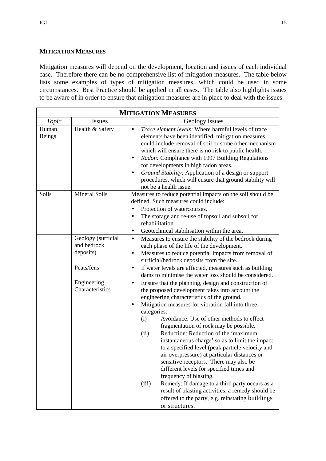# **MITIGATION MEASURES**

Mitigation measures will depend on the development, location and issues of each individual case. Therefore there can be no comprehensive list of mitigation measures. The table below lists some examples of types of mitigation measures, which could be used in some circumstances. Best Practice should be applied in all cases. The table also highlights issues to be aware of in order to ensure that mitigation measures are in place to deal with the issues.

| <b>MITIGATION MEASURES</b> |                                                |                                                                                                                                                                                                                                                                                                                                                                                                                                                                                                                                                                                                                                                                                                                                                                                                                                                                |
|----------------------------|------------------------------------------------|----------------------------------------------------------------------------------------------------------------------------------------------------------------------------------------------------------------------------------------------------------------------------------------------------------------------------------------------------------------------------------------------------------------------------------------------------------------------------------------------------------------------------------------------------------------------------------------------------------------------------------------------------------------------------------------------------------------------------------------------------------------------------------------------------------------------------------------------------------------|
| Topic                      | <b>Issues</b>                                  | Geology issues                                                                                                                                                                                                                                                                                                                                                                                                                                                                                                                                                                                                                                                                                                                                                                                                                                                 |
| Human<br><b>Beings</b>     | Health & Safety                                | Trace element levels: Where harmful levels of trace<br>$\bullet$<br>elements have been identified, mitigation measures<br>could include removal of soil or some other mechanism<br>which will ensure there is no risk to public health.<br>Radon: Compliance with 1997 Building Regulations<br>٠<br>for developments in high radon areas.<br>Ground Stability: Application of a design or support<br>$\bullet$<br>procedures, which will ensure that ground stability will<br>not be a health issue.                                                                                                                                                                                                                                                                                                                                                           |
| Soils                      | <b>Mineral Soils</b>                           | Measures to reduce potential impacts on the soil should be<br>defined. Such measures could include:<br>Protection of watercourses.<br>$\bullet$<br>The storage and re-use of topsoil and subsoil for<br>$\bullet$<br>rehabilitation.<br>Geotechnical stabilisation within the area.<br>٠                                                                                                                                                                                                                                                                                                                                                                                                                                                                                                                                                                       |
|                            | Geology (surficial<br>and bedrock<br>deposits) | Measures to ensure the stability of the bedrock during<br>$\bullet$<br>each phase of the life of the development.<br>Measures to reduce potential impacts from removal of<br>$\bullet$<br>surficial/bedrock deposits from the site.                                                                                                                                                                                                                                                                                                                                                                                                                                                                                                                                                                                                                            |
|                            | Peats/fens                                     | If water levels are affected, measures such as building<br>$\bullet$<br>dams to minimise the water loss should be considered.                                                                                                                                                                                                                                                                                                                                                                                                                                                                                                                                                                                                                                                                                                                                  |
|                            | Engineering<br>Characteristics                 | Ensure that the planning, design and construction of<br>$\bullet$<br>the proposed development takes into account the<br>engineering characteristics of the ground.<br>Mitigation measures for vibration fall into three<br>$\bullet$<br>categories:<br>Avoidance: Use of other methods to effect<br>(i)<br>fragmentation of rock may be possible.<br>Reduction: Reduction of the 'maximum<br>(ii)<br>instantaneous charge' so as to limit the impact<br>to a specified level (peak particle velocity and<br>air overpressure) at particular distances or<br>sensitive receptors. There may also be<br>different levels for specified times and<br>frequency of blasting.<br>Remedy: If damage to a third party occurs as a<br>(iii)<br>result of blasting activities, a remedy should be<br>offered to the party, e.g. reinstating buildings<br>or structures. |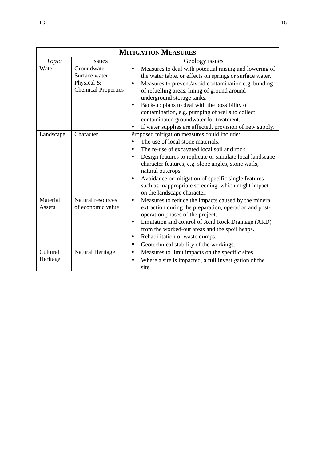| <b>MITIGATION MEASURES</b> |                                                                          |                                                                                                                                                                                                                                                                                                                                                                                                                                                                                                     |
|----------------------------|--------------------------------------------------------------------------|-----------------------------------------------------------------------------------------------------------------------------------------------------------------------------------------------------------------------------------------------------------------------------------------------------------------------------------------------------------------------------------------------------------------------------------------------------------------------------------------------------|
| Topic                      | <b>Issues</b>                                                            | Geology issues                                                                                                                                                                                                                                                                                                                                                                                                                                                                                      |
| Water                      | Groundwater<br>Surface water<br>Physical &<br><b>Chemical Properties</b> | Measures to deal with potential raising and lowering of<br>$\bullet$<br>the water table, or effects on springs or surface water.<br>Measures to prevent/avoid contamination e.g. bunding<br>$\bullet$<br>of refuelling areas, lining of ground around<br>underground storage tanks.<br>Back-up plans to deal with the possibility of<br>٠<br>contamination, e.g. pumping of wells to collect<br>contaminated groundwater for treatment.<br>If water supplies are affected, provision of new supply. |
| Landscape                  | Character                                                                | Proposed mitigation measures could include:<br>The use of local stone materials.<br>$\bullet$<br>The re-use of excavated local soil and rock.<br>Design features to replicate or simulate local landscape<br>$\bullet$<br>character features, e.g. slope angles, stone walls,<br>natural outcrops.<br>Avoidance or mitigation of specific single features<br>٠<br>such as inappropriate screening, which might impact<br>on the landscape character.                                                |
| Material<br>Assets         | Natural resources<br>of economic value                                   | Measures to reduce the impacts caused by the mineral<br>$\bullet$<br>extraction during the preparation, operation and post-<br>operation phases of the project.<br>Limitation and control of Acid Rock Drainage (ARD)<br>$\bullet$<br>from the worked-out areas and the spoil heaps.<br>Rehabilitation of waste dumps.<br>٠<br>Geotechnical stability of the workings.<br>$\bullet$                                                                                                                 |
| Cultural<br>Heritage       | Natural Heritage                                                         | Measures to limit impacts on the specific sites.<br>$\bullet$<br>Where a site is impacted, a full investigation of the<br>site.                                                                                                                                                                                                                                                                                                                                                                     |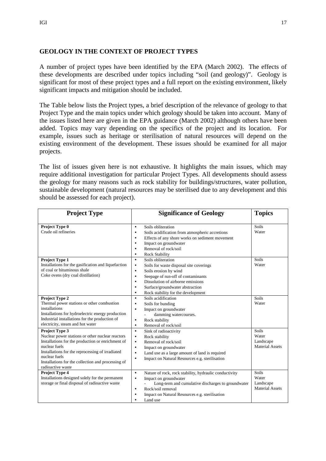# **GEOLOGY IN THE CONTEXT OF PROJECT TYPES**

A number of project types have been identified by the EPA (March 2002). The effects of these developments are described under topics including "soil (and geology)". Geology is significant for most of these project types and a full report on the existing environment, likely significant impacts and mitigation should be included.

The Table below lists the Project types, a brief description of the relevance of geology to that Project Type and the main topics under which geology should be taken into account. Many of the issues listed here are given in the EPA guidance (March 2002) although others have been added. Topics may vary depending on the specifics of the project and its location. For example, issues such as heritage or sterilisation of natural resources will depend on the existing environment of the development. These issues should be examined for all major projects.

The list of issues given here is not exhaustive. It highlights the main issues, which may require additional investigation for particular Project Types. All developments should assess the geology for many reasons such as rock stability for buildings/structures, water pollution, sustainable development (natural resources may be sterilised due to any development and this should be assessed for each project).

| <b>Project Type</b>                                                                                                                                                                                                                                                                             | <b>Significance of Geology</b>                                                                                                                                                                                                                                                                                                        | <b>Topics</b>                                         |
|-------------------------------------------------------------------------------------------------------------------------------------------------------------------------------------------------------------------------------------------------------------------------------------------------|---------------------------------------------------------------------------------------------------------------------------------------------------------------------------------------------------------------------------------------------------------------------------------------------------------------------------------------|-------------------------------------------------------|
| Project Type 0<br>Crude oil refineries                                                                                                                                                                                                                                                          | Soils obliteration<br>$\bullet$<br>Soils acidification from atmospheric accretions<br>٠<br>Effects of any shore works on sediment movement<br>$\bullet$<br>Impact on groundwater<br>$\bullet$<br>Removal of rock/soil<br>$\bullet$<br><b>Rock Stability</b><br>$\bullet$                                                              | Soils<br>Water                                        |
| Project Type 1<br>Installations for the gasification and liquefaction<br>of coal or bituminous shale<br>Coke ovens (dry coal distillation)                                                                                                                                                      | Soils obliteration<br>$\bullet$<br>Soils for waste disposal site coverings<br>$\bullet$<br>Soils erosion by wind<br>$\bullet$<br>Seepage of run-off of contaminants<br>$\bullet$<br>Dissolution of airborne emissions<br>$\bullet$<br>Surface/groundwater abstraction<br>$\bullet$<br>Rock stability for the development<br>$\bullet$ | Soils<br>Water                                        |
| <b>Project Type 2</b><br>Thermal power stations or other combustion<br>installations<br>Installations for hydroelectric energy production<br>Industrial installations for the production of<br>electricity, steam and hot water                                                                 | Soils acidification<br>$\bullet$<br>Soils for bunding<br>$\bullet$<br>Impact on groundwater<br>$\bullet$<br>damming watercourses.<br>Rock stability<br>٠<br>Removal of rock/soil<br>$\bullet$                                                                                                                                         | Soils<br>Water                                        |
| <b>Project Type 3</b><br>Nuclear power stations or other nuclear reactors<br>Installations for the production or enrichment of<br>nuclear fuels<br>Installations for the reprocessing of irradiated<br>nuclear fuels<br>Installations for the collection and processing of<br>radioactive waste | Sink of radioactivity<br>$\bullet$<br>Rock stability<br>$\bullet$<br>Removal of rock/soil<br>$\bullet$<br>Impact on groundwater<br>$\bullet$<br>Land use as a large amount of land is required<br>$\bullet$<br>Impact on Natural Resources e.g. sterilisation<br>$\bullet$                                                            | Soils<br>Water<br>Landscape<br><b>Material Assets</b> |
| Project Type 4<br>Installations designed solely for the permanent<br>storage or final disposal of radioactive waste                                                                                                                                                                             | Nature of rock, rock stability, hydraulic conductivity<br>$\bullet$<br>Impact on groundwater<br>$\bullet$<br>Long-term and cumulative discharges to groundwater<br>Rock/soil removal<br>$\bullet$<br>Impact on Natural Resources e.g. sterilisation<br>$\bullet$<br>Land use<br>$\bullet$                                             | Soils<br>Water<br>Landscape<br><b>Material Assets</b> |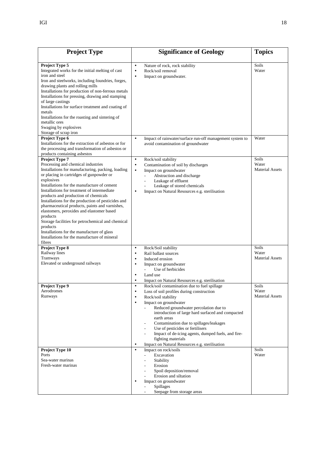| <b>Project Type</b>                                                                                                                                                                                                                                                                                                                                                                                                                                                                                                                                                                                                                                 | <b>Significance of Geology</b>                                                                                                                                                                                                                                                                                                                                                                                                                                                                                                                                                                                      | <b>Topics</b>                            |
|-----------------------------------------------------------------------------------------------------------------------------------------------------------------------------------------------------------------------------------------------------------------------------------------------------------------------------------------------------------------------------------------------------------------------------------------------------------------------------------------------------------------------------------------------------------------------------------------------------------------------------------------------------|---------------------------------------------------------------------------------------------------------------------------------------------------------------------------------------------------------------------------------------------------------------------------------------------------------------------------------------------------------------------------------------------------------------------------------------------------------------------------------------------------------------------------------------------------------------------------------------------------------------------|------------------------------------------|
| Project Type 5<br>Integrated works for the initial melting of cast<br>iron and steel<br>Iron and steelworks, including foundries, forges,<br>drawing plants and rolling mills<br>Installations for production of non-ferrous metals<br>Installations for pressing, drawing and stamping<br>of large castings<br>Installations for surface treatment and coating of<br>metals<br>Installations for the roasting and sintering of<br>metallic ores<br>Swaging by explosives<br>Storage of scrap iron                                                                                                                                                  | Nature of rock, rock stability<br>$\bullet$<br>Rock/soil removal<br>$\bullet$<br>Impact on groundwater.<br>$\bullet$                                                                                                                                                                                                                                                                                                                                                                                                                                                                                                | Soils<br>Water                           |
| Project Type 6<br>Installations for the extraction of asbestos or for<br>the processing and transformation of asbestos or<br>products containing asbestos                                                                                                                                                                                                                                                                                                                                                                                                                                                                                           | Impact of rainwater/surface run-off management system to<br>$\bullet$<br>avoid contamination of groundwater                                                                                                                                                                                                                                                                                                                                                                                                                                                                                                         | Water                                    |
| Project Type 7<br>Processing and chemical industries<br>Installations for manufacturing, packing, loading<br>or placing in cartridges of gunpowder or<br>explosives<br>Installations for the manufacture of cement<br>Installations for treatment of intermediate<br>products and production of chemicals<br>Installations for the production of pesticides and<br>pharmaceutical products, paints and varnishes,<br>elastomers, peroxides and elastomer based<br>products<br>Storage facilities for petrochemical and chemical<br>products<br>Installations for the manufacture of glass<br>Installations for the manufacture of mineral<br>fibres | Rock/soil stability<br>$\bullet$<br>Contamination of soil by discharges<br>$\bullet$<br>Impact on groundwater<br>$\bullet$<br>Abstraction and discharge<br>Leakage of effluent<br>Leakage of stored chemicals<br>Impact on Natural Resources e.g. sterilisation<br>$\bullet$                                                                                                                                                                                                                                                                                                                                        | Soils<br>Water<br><b>Material Assets</b> |
| Project Type 8<br>Railway lines<br>Tramways<br>Elevated or underground railways                                                                                                                                                                                                                                                                                                                                                                                                                                                                                                                                                                     | Rock/Soil stability<br>$\bullet$<br>Rail ballast sources<br>$\bullet$<br>Induced erosion<br>$\bullet$<br>Impact on groundwater<br>$\bullet$<br>Use of herbicides<br>$\overline{a}$<br>Land use<br>$\bullet$                                                                                                                                                                                                                                                                                                                                                                                                         | Soils<br>Water<br><b>Material Assets</b> |
| Project Type 9<br>Aerodromes<br>Runways                                                                                                                                                                                                                                                                                                                                                                                                                                                                                                                                                                                                             | Impact on Natural Resources e.g. sterilisation<br>$\bullet$<br>Rock/soil contamination due to fuel spillage<br>$\bullet$<br>Loss of soil profiles during construction<br>Rock/soil stability<br>$\bullet$<br>Impact on groundwater<br>$\bullet$<br>Reduced groundwater percolation due to<br>introduction of large hard surfaced and compacted<br>earth areas<br>Contamination due to spillages/leakages<br>Use of pesticides or fertilisers<br>Impact of de-icing agents, dumped fuels, and fire-<br>$\overline{\phantom{a}}$<br>fighting materials<br>Impact on Natural Resources e.g. sterilisation<br>$\bullet$ | Soils<br>Water<br><b>Material Assets</b> |
| Project Type 10<br>Ports<br>Sea-water marinas<br>Fresh-water marinas                                                                                                                                                                                                                                                                                                                                                                                                                                                                                                                                                                                | Impact on rock/soils<br>$\bullet$<br>Excavation<br>$\mathcal{L}^{\pm}$<br>Stability<br>Erosion<br>Spoil deposition/removal<br>Erosion and siltation<br>Impact on groundwater<br>$\bullet$<br><b>Spillages</b><br>Seepage from storage areas                                                                                                                                                                                                                                                                                                                                                                         | Soils<br>Water                           |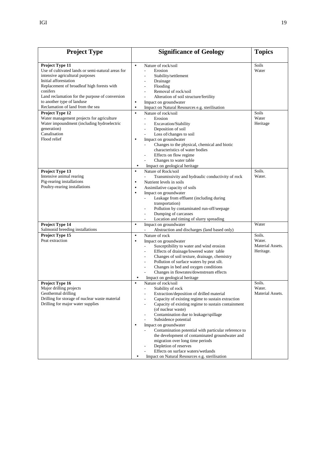| <b>Project Type</b>                                                                                                                                                                                                                                                                                            | <b>Significance of Geology</b>                                                                                                                                                                                                                                                                                                                                                                                                                                                                                                                                                                                                                                                                                                                       | <b>Topics</b>                                     |
|----------------------------------------------------------------------------------------------------------------------------------------------------------------------------------------------------------------------------------------------------------------------------------------------------------------|------------------------------------------------------------------------------------------------------------------------------------------------------------------------------------------------------------------------------------------------------------------------------------------------------------------------------------------------------------------------------------------------------------------------------------------------------------------------------------------------------------------------------------------------------------------------------------------------------------------------------------------------------------------------------------------------------------------------------------------------------|---------------------------------------------------|
| Project Type 11<br>Use of cultivated lands or semi-natural areas for<br>intensive agricultural purposes<br>Initial afforestation<br>Replacement of broadleaf high forests with<br>conifers<br>Land reclamation for the purpose of conversion<br>to another type of landuse<br>Reclamation of land from the sea | Nature of rock/soil<br>$\bullet$<br>Erosion<br>$\overline{a}$<br>Stability/settlement<br>L.<br>Drainage<br>$\qquad \qquad \blacksquare$<br>Flooding<br>$\overline{a}$<br>Removal of rock/soil<br>Alteration of soil structure/fertility<br>Impact on groundwater<br>٠<br>Impact on Natural Resources e.g. sterilisation<br>$\bullet$                                                                                                                                                                                                                                                                                                                                                                                                                 | Soils<br>Water                                    |
| Project Type 12<br>Water management projects for agriculture<br>Water impoundment (including hydroelectric<br>generation)<br>Canalisation<br>Flood relief                                                                                                                                                      | Nature of rock/soil<br>$\bullet$<br>Erosion<br>$\overline{a}$<br>Excavation/Stability<br>$\frac{1}{2}$<br>Deposition of soil<br>Loss of/changes to soil<br>Impact on groundwater<br>$\bullet$<br>Changes to the physical, chemical and biotic<br>characteristics of water bodies<br>Effects on flow regime<br>Changes to water table<br>Impact on geological heritage<br>$\bullet$                                                                                                                                                                                                                                                                                                                                                                   | Soils<br>Water<br>Heritage                        |
| Project Type 13<br>Intensive animal rearing<br>Pig-rearing installations<br>Poultry-rearing installations                                                                                                                                                                                                      | Nature of Rock/soil<br>$\bullet$<br>Transmissivity and hydraulic conductivity of rock<br>$\overline{a}$<br>Nutrient levels in soils<br>٠<br>Assimilative capacity of soils<br>$\bullet$<br>Impact on groundwater<br>$\bullet$<br>Leakage from effluent (including during<br>transportation)<br>Pollution by contaminated run-off/seepage<br>Dumping of carcasses<br>Location and timing of slurry spreading                                                                                                                                                                                                                                                                                                                                          | Soils.<br>Water.                                  |
| Project Type 14<br>Salmonid breeding installations                                                                                                                                                                                                                                                             | Impact on groundwater<br>$\bullet$<br>Abstraction and discharges (land based only)                                                                                                                                                                                                                                                                                                                                                                                                                                                                                                                                                                                                                                                                   | Water                                             |
| Project Type 15<br>Peat extraction                                                                                                                                                                                                                                                                             | Nature of rock<br>$\bullet$<br>Impact on groundwater<br>$\bullet$<br>Susceptibility to water and wind erosion<br>$\overline{a}$<br>Effects of drainage/lowered water table<br>$\overline{\phantom{a}}$<br>Changes of soil texture, drainage, chemistry<br>Pollution of surface waters by peat silt.<br>Changes in bed and oxygen conditions<br>Changes in flowrates/downstream effects<br>Impact on geological heritage<br>$\bullet$                                                                                                                                                                                                                                                                                                                 | Soils.<br>Water.<br>Material Assets.<br>Heritage. |
| Project Type 16<br>Major drilling projects<br>Geothermal drilling<br>Drilling for storage of nuclear waste material<br>Drilling for major water supplies                                                                                                                                                       | Nature of rock/soil<br>$\bullet$<br>Stability of rock<br>$\overline{a}$<br>Extraction/deposition of drilled material<br>-<br>Capacity of existing regime to sustain extraction<br>$\overline{\phantom{0}}$<br>Capacity of existing regime to sustain containment<br>$\overline{a}$<br>(of nuclear waste)<br>Contamination due to leakage/spillage<br>$\overline{\phantom{a}}$<br>Subsidence potential<br>$\overline{\phantom{a}}$<br>Impact on groundwater<br>$\bullet$<br>Contamination potential with particular reference to<br>the development of contaminated groundwater and<br>migration over long time periods<br>Depletion of reserves<br>Effects on surface waters/wetlands<br>Impact on Natural Resources e.g. sterilisation<br>$\bullet$ | Soils.<br>Water.<br>Material Assets.              |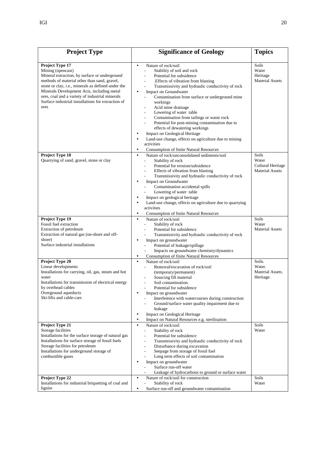| <b>Project Type</b>                                                                                                                                                                                                                                                                                                                                        | <b>Significance of Geology</b>                                                                                                                                                                                                                                                                                                                                                                                                                                                                                                                                                                                                                                                                                                        | <b>Topics</b>                                                 |
|------------------------------------------------------------------------------------------------------------------------------------------------------------------------------------------------------------------------------------------------------------------------------------------------------------------------------------------------------------|---------------------------------------------------------------------------------------------------------------------------------------------------------------------------------------------------------------------------------------------------------------------------------------------------------------------------------------------------------------------------------------------------------------------------------------------------------------------------------------------------------------------------------------------------------------------------------------------------------------------------------------------------------------------------------------------------------------------------------------|---------------------------------------------------------------|
| Project Type 17<br>Mining (opencast)<br>Mineral extraction, by surface or underground<br>methods of material other than sand, gravel,<br>stone or clay, i.e., minerals as defined under the<br>Minerals Development Acts, including metal<br>ores, coal and a variety of industrial minerals<br>Surface industrial installations for extraction of<br>ores | Nature of rock/soil<br>$\bullet$<br>Stability of soil and rock<br>Potential for subsidence<br>$\overline{\phantom{a}}$<br>.Effects of vibration from blasting<br>$\overline{\phantom{a}}$<br>Transmissivity and hydraulic conductivity of rock<br>Impact on Groundwater<br>$\bullet$<br>Contamination from surface or underground mine<br>workings<br>Acid mine drainage<br>Lowering of water table<br>Contamination from tailings or waste rock<br>Potential for post-mining contamination due to<br>effects of dewatering workings<br>Impact on Geological Heritage<br>$\bullet$<br>Land-use change, effects on agriculture due to mining<br>$\bullet$<br>activities<br><b>Consumption of finite Natural Resources</b><br>$\bullet$ | Soils<br>Water<br>Heritage<br><b>Material Assets</b>          |
| Project Type 18<br>Quarrying of sand, gravel, stone or clay                                                                                                                                                                                                                                                                                                | Nature of rock/unconsolidated sediments/soil<br>$\bullet$<br>Stability of rock<br>$\overline{a}$<br>Potential for erosion/subsidence<br>Effects of vibration from blasting<br>Transmissivity and hydraulic conductivity of rock<br>Impact on Groundwater<br>$\bullet$<br>Contamination accidental spills<br>Lowering of water table<br>Impact on geological heritage<br>٠<br>Land-use change, effects on agriculture due to quarrying<br>$\bullet$<br>activities<br>Consumption of finite Natural Resources<br>٠                                                                                                                                                                                                                      | Soils<br>Water<br>Cultural Heritage<br><b>Material Assets</b> |
| Project Type 19<br>Fossil fuel extraction<br>Extraction of petroleum<br>Extraction of natural gas (on-shore and off-<br>shore)<br>Surface industrial installations                                                                                                                                                                                         | Nature of rock/soil<br>$\bullet$<br>Stability of rock<br>Potential for subsidence<br>$\overline{a}$<br>Transmissivity and hydraulic conductivity of rock<br>Impact on groundwater<br>$\bullet$<br>Potential of leakage/spillage<br>Impacts on groundwater chemistry/dynamics<br><b>Consumption of finite Natural Resources</b><br>٠                                                                                                                                                                                                                                                                                                                                                                                                   | Soils<br>Water<br><b>Material Assets</b>                      |
| Project Type 20<br>Linear developments<br>Installations for carrying, oil, gas, steam and hot<br>water<br>Installations for transmission of electrical energy<br>by overhead cables<br>Overground aqueducts<br>Ski-lifts and cable-cars                                                                                                                    | Nature of rock/soil<br>$\bullet$<br>Removal/excavation of rock/soil<br>(temporary/permanent)<br>Sourcing fill material<br>Soil contamination.<br>Potential for subsidence<br>Impact on groundwater<br>Interference with watercourses during construction<br>Ground/surface water quality impairment due to<br>leakage<br>Impact on Geological Heritage<br>٠<br>Impact on Natural Resources e.g. sterilisation                                                                                                                                                                                                                                                                                                                         | Soils.<br>Water.<br>Material Assets.<br>Heritage.             |
| Project Type 21<br>Storage facilities<br>Installations for the surface storage of natural gas<br>Installations for surface storage of fossil fuels<br>Storage facilities for petroleum<br>Installations for underground storage of<br>combustible gases                                                                                                    | Nature of rock/soil<br>$\bullet$<br>Stability of rock<br>$\overline{\phantom{a}}$<br>Potential for subsidence<br>$\frac{1}{2}$<br>Transmissivity and hydraulic conductivity of rock<br>$\overline{a}$<br>Disturbance during excavation<br>Seepage from storage of fossil fuel<br>Long term effects of soil contamination<br>Impact on groundwater<br>$\bullet$<br>Surface run-off water<br>Leakage of hydrocarbons to ground or surface water                                                                                                                                                                                                                                                                                         | Soils<br>Water                                                |
| Project Type 22<br>Installations for industrial briquetting of coal and<br>lignite                                                                                                                                                                                                                                                                         | $\bullet$<br>Nature of rock/soil for construction<br>Stability of rock<br>$\overline{a}$<br>Surface run-off and groundwater contamination<br>٠                                                                                                                                                                                                                                                                                                                                                                                                                                                                                                                                                                                        | Soils<br>Water                                                |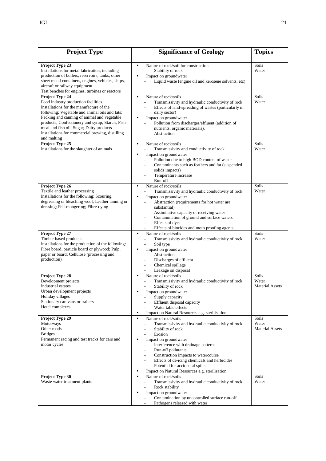| <b>Project Type</b>                                                                                                                                                                                                                                                                                                                                                    | <b>Significance of Geology</b>                                                                                                                                                                                                                                                                                                                                                                                                                                                                                                        | <b>Topics</b>                            |
|------------------------------------------------------------------------------------------------------------------------------------------------------------------------------------------------------------------------------------------------------------------------------------------------------------------------------------------------------------------------|---------------------------------------------------------------------------------------------------------------------------------------------------------------------------------------------------------------------------------------------------------------------------------------------------------------------------------------------------------------------------------------------------------------------------------------------------------------------------------------------------------------------------------------|------------------------------------------|
| Project Type 23<br>Installations for metal fabrication, including<br>production of boilers, reservoirs, tanks, other<br>sheet metal containers, engines, vehicles, ships,<br>aircraft or railway equipment<br>Test benches for engines, turbines or reactors                                                                                                           | Nature of rock/soil for construction<br>$\bullet$<br>Stability of rock<br>Impact on groundwater<br>Liquid waste (engine oil and kerosene solvents, etc)                                                                                                                                                                                                                                                                                                                                                                               | Soils<br>Water                           |
| Project Type 24<br>Food industry production facilities<br>Installations for the manufacture of the<br>following: Vegetable and animal oils and fats;<br>Packing and canning of animal and vegetable<br>products; Confectionery and syrup; Starch; Fish-<br>meal and fish oil; Sugar; Dairy products<br>Installations for commercial brewing, distilling<br>and malting | Nature of rock/soils<br>$\bullet$<br>Transmissivity and hydraulic conductivity of rock<br>$\overline{a}$<br>Effects of land-spreading of wastes (particularly in<br>dairy sector)<br>Impact on groundwater<br>$\bullet$<br>Pollution from discharges/effluent (addition of<br>nutrients, organic materials).<br>Abstraction                                                                                                                                                                                                           | Soils<br>Water                           |
| Project Type 25<br>Installations for the slaughter of animals                                                                                                                                                                                                                                                                                                          | Nature of rock/soils<br>$\bullet$<br>Transmissivity and conductivity of rock.<br>Impact on groundwater<br>Pollution due to high BOD content of waste<br>Contaminants such as feathers and fat (suspended<br>solids impacts)<br>Temperature increase<br>Run-off<br>$\overline{a}$                                                                                                                                                                                                                                                      | Soils<br>Water                           |
| Project Type 26<br>Textile and leather processing<br>Installations for the following: Scouring,<br>degreasing or bleaching wool; Leather tanning or<br>dressing; Fell-mongering; Fibre-dying                                                                                                                                                                           | Nature of rock/soils<br>$\bullet$<br>Transmissivity and hydraulic conductivity of rock.<br>Impact on groundwater<br>Abstraction (requirements for hot water are<br>substantial)<br>Assimilative capacity of receiving water<br>Contamination of ground and surface waters<br>Effects of dyes<br>$\overline{\phantom{0}}$<br>Effects of biocides and moth proofing agents                                                                                                                                                              | Soils<br>Water                           |
| Project Type 27<br>Timber based products<br>Installations for the production of the following:<br>Fibre board, particle board or plywood; Pulp,<br>paper or board; Cellulose (processing and<br>production)                                                                                                                                                            | Nature of rock/soils<br>$\bullet$<br>Transmissivity and hydraulic conductivity of rock<br>Soil type<br>Impact on groundwater<br>Abstraction<br>Discharges of effluent<br>Chemical spillage<br>$\overline{a}$<br>Leakage on disposal                                                                                                                                                                                                                                                                                                   | Soils<br>Water                           |
| Project Type 28<br>Development projects<br><b>Industrial</b> estates<br>Urban development projects<br>Holiday villages<br>Stationary caravans or trailers<br>Hotel complexes                                                                                                                                                                                           | Nature of rock/soils<br>$\bullet$<br>Transmissivity and hydraulic conductivity of rock<br>Stability of rock<br>Impact on groundwater<br>Supply capacity<br>Effluent disposal capacity<br>Water table effects<br>Impact on Natural Resources e.g. sterilisation<br>٠                                                                                                                                                                                                                                                                   | Soils<br>Water<br><b>Material Assets</b> |
| Project Type 29<br>Motorways<br>Other roads<br><b>Bridges</b><br>Permanent racing and test tracks for cars and<br>motor cycles                                                                                                                                                                                                                                         | Nature of rock/soils<br>$\bullet$<br>Transmissivity and hydraulic conductivity of rock<br>$\overline{\phantom{0}}$<br>Stability of rock<br>$\overline{a}$<br>Erosion<br>$\overline{a}$<br>Impact on groundwater<br>Interference with drainage patterns<br>$\overline{a}$<br>Run-off pollutants<br>$\overline{a}$<br>Construction impacts to watercourse<br>Effects of de-icing chemicals and herbicides<br>$\overline{\phantom{0}}$<br>Potential for accidental spills<br>Impact on Natural Resources e.g. sterilisation<br>$\bullet$ | Soils<br>Water<br><b>Material Assets</b> |
| Project Type 30<br>Waste water treatment plants                                                                                                                                                                                                                                                                                                                        | Nature of rock/soils<br>$\bullet$<br>Transmissivity and hydraulic conductivity of rock<br>$\overline{a}$<br>Rock stability<br>$\overline{a}$<br>Impact on groundwater<br>Contamination by uncontrolled surface run-off<br>Pathogens released with water                                                                                                                                                                                                                                                                               | Soils<br>Water                           |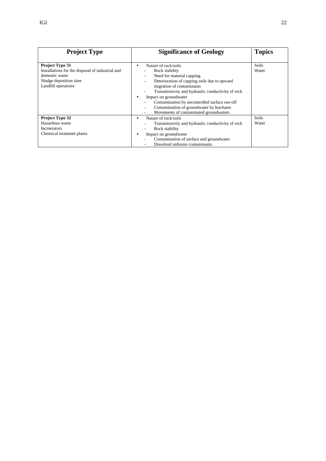| <b>Project Type</b>                                                                                                                            | <b>Significance of Geology</b>                                                                                                                                                                                                                                                                                                                                                                                                            | <b>Topics</b>         |
|------------------------------------------------------------------------------------------------------------------------------------------------|-------------------------------------------------------------------------------------------------------------------------------------------------------------------------------------------------------------------------------------------------------------------------------------------------------------------------------------------------------------------------------------------------------------------------------------------|-----------------------|
| <b>Project Type 31</b><br>Installations for the disposal of industrial and<br>domestic waste<br>Sludge deposition sites<br>Landfill operations | Nature of rock/soils<br>٠<br>Rock stability<br>Need for material capping.<br>$\overline{\phantom{0}}$<br>Deterioration of capping soils due to upward<br>$\overline{\phantom{0}}$<br>migration of contaminants<br>Transmissivity and hydraulic conductivity of rock<br>Impact on groundwater<br>٠<br>Contamination by uncontrolled surface run-off<br>Contamination of groundwater by leachates<br>Movements of contaminated groundwaters | Soils<br>Water        |
| Project Type 32<br>Hazardous waste<br><b>Incinerators</b><br>Chemical treatment plants                                                         | Nature of rock/soils<br>٠<br>Transmissivity and hydraulic conductivity of rock<br>Rock stability<br>Impact on groundwater<br>Contamination of surface and groundwater<br>Dissolved airborne contaminants                                                                                                                                                                                                                                  | <b>Soils</b><br>Water |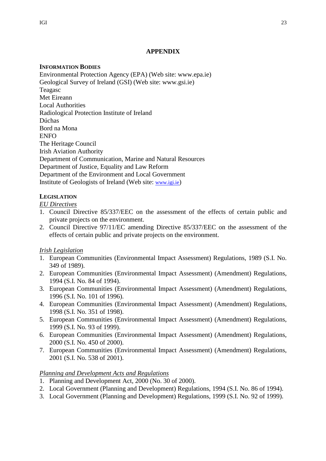# **APPENDIX**

# **INFORMATION BODIES**

Environmental Protection Agency (EPA) (Web site: www.epa.ie) Geological Survey of Ireland (GSI) (Web site: www.gsi.ie) Teagasc Met Eireann Local Authorities Radiological Protection Institute of Ireland Dúchas Bord na Mona ENFO The Heritage Council Irish Aviation Authority Department of Communication, Marine and Natural Resources Department of Justice, Equality and Law Reform Department of the Environment and Local Government Institute of Geologists of Ireland (Web site: www.igi.ie)

# **LEGISLATION**

# *EU Directives*

- 1. Council Directive 85/337/EEC on the assessment of the effects of certain public and private projects on the environment.
- 2. Council Directive 97/11/EC amending Directive 85/337/EEC on the assessment of the effects of certain public and private projects on the environment.

# *Irish Legislation*

- 1. European Communities (Environmental Impact Assessment) Regulations, 1989 (S.I. No. 349 of 1989).
- 2. European Communities (Environmental Impact Assessment) (Amendment) Regulations, 1994 (S.I. No. 84 of 1994).
- 3. European Communities (Environmental Impact Assessment) (Amendment) Regulations, 1996 (S.I. No. 101 of 1996).
- 4. European Communities (Environmental Impact Assessment) (Amendment) Regulations, 1998 (S.I. No. 351 of 1998).
- 5. European Communities (Environmental Impact Assessment) (Amendment) Regulations, 1999 (S.I. No. 93 of 1999).
- 6. European Communities (Environmental Impact Assessment) (Amendment) Regulations, 2000 (S.I. No. 450 of 2000).
- 7. European Communities (Environmental Impact Assessment) (Amendment) Regulations, 2001 (S.I. No. 538 of 2001).

# *Planning and Development Acts and Regulations*

- 1. Planning and Development Act, 2000 (No. 30 of 2000).
- 2. Local Government (Planning and Development) Regulations, 1994 (S.I. No. 86 of 1994).
- 3. Local Government (Planning and Development) Regulations, 1999 (S.I. No. 92 of 1999).